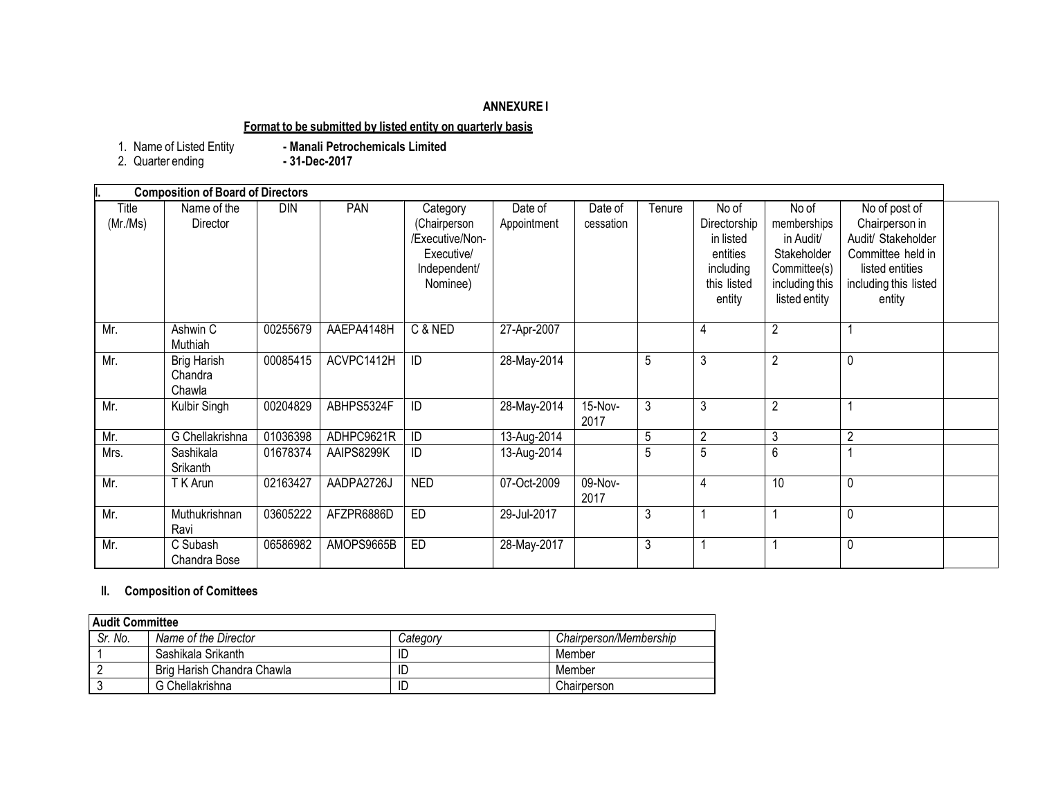## **ANNEXURE I**

## **Format to be submitted by listed entity on quarterly basis**

1. Name of Listed Entity **- Manali Petrochemicals Limited**

2. Quarter ending **- 31-Dec-2017**

|  | 2. Quarter ending |  |
|--|-------------------|--|
|--|-------------------|--|

|                   | <b>Composition of Board of Directors</b> |          |            |                                                                                       |                        |                      |        |                                                                                      |                                                                                                     |                                                                                                                                  |  |
|-------------------|------------------------------------------|----------|------------|---------------------------------------------------------------------------------------|------------------------|----------------------|--------|--------------------------------------------------------------------------------------|-----------------------------------------------------------------------------------------------------|----------------------------------------------------------------------------------------------------------------------------------|--|
| Title<br>(Mr./Ms) | Name of the<br>Director                  | DIN      | PAN        | Category<br>(Chairperson<br>/Executive/Non-<br>Executive/<br>Independent/<br>Nominee) | Date of<br>Appointment | Date of<br>cessation | Tenure | No of<br>Directorship<br>in listed<br>entities<br>including<br>this listed<br>entity | No of<br>memberships<br>in Audit/<br>Stakeholder<br>Committee(s)<br>including this<br>listed entity | No of post of<br>Chairperson in<br>Audit/ Stakeholder<br>Committee held in<br>listed entities<br>including this listed<br>entity |  |
| Mr.               | Ashwin C<br>Muthiah                      | 00255679 | AAEPA4148H | C & NED                                                                               | 27-Apr-2007            |                      |        | 4                                                                                    | $\overline{2}$                                                                                      |                                                                                                                                  |  |
| Mr.               | <b>Brig Harish</b><br>Chandra<br>Chawla  | 00085415 | ACVPC1412H | ID                                                                                    | 28-May-2014            |                      | 5      | 3                                                                                    | $\overline{2}$                                                                                      | $\mathbf 0$                                                                                                                      |  |
| Mr.               | Kulbir Singh                             | 00204829 | ABHPS5324F | ID                                                                                    | 28-May-2014            | 15-Nov-<br>2017      | 3      | 3                                                                                    | $\overline{2}$                                                                                      |                                                                                                                                  |  |
| Mr.               | G Chellakrishna                          | 01036398 | ADHPC9621R | ID                                                                                    | 13-Aug-2014            |                      | 5      | $\overline{2}$                                                                       | 3                                                                                                   | $\overline{2}$                                                                                                                   |  |
| Mrs.              | Sashikala<br>Srikanth                    | 01678374 | AAIPS8299K | ID                                                                                    | 13-Aug-2014            |                      | 5      | 5                                                                                    | $6\,$                                                                                               |                                                                                                                                  |  |
| Mr.               | T K Arun                                 | 02163427 | AADPA2726J | <b>NED</b>                                                                            | 07-Oct-2009            | 09-Nov-<br>2017      |        | 4                                                                                    | 10                                                                                                  | $\mathbf 0$                                                                                                                      |  |
| Mr.               | Muthukrishnan<br>Ravi                    | 03605222 | AFZPR6886D | ED                                                                                    | 29-Jul-2017            |                      | 3      |                                                                                      |                                                                                                     | 0                                                                                                                                |  |
| Mr.               | C Subash<br>Chandra Bose                 | 06586982 | AMOPS9665B | ED                                                                                    | 28-May-2017            |                      | 3      |                                                                                      |                                                                                                     | $\mathbf{0}$                                                                                                                     |  |

## **II. Composition of Comittees**

| <b>Audit Committee</b> |                            |          |                        |  |  |
|------------------------|----------------------------|----------|------------------------|--|--|
| Sr. No.                | Name of the Director       | Category | Chairperson/Membership |  |  |
|                        | Sashikala Srikanth         |          | Member                 |  |  |
|                        | Brig Harish Chandra Chawla |          | Member                 |  |  |
|                        | G Chellakrishna            | ID       | Chairperson            |  |  |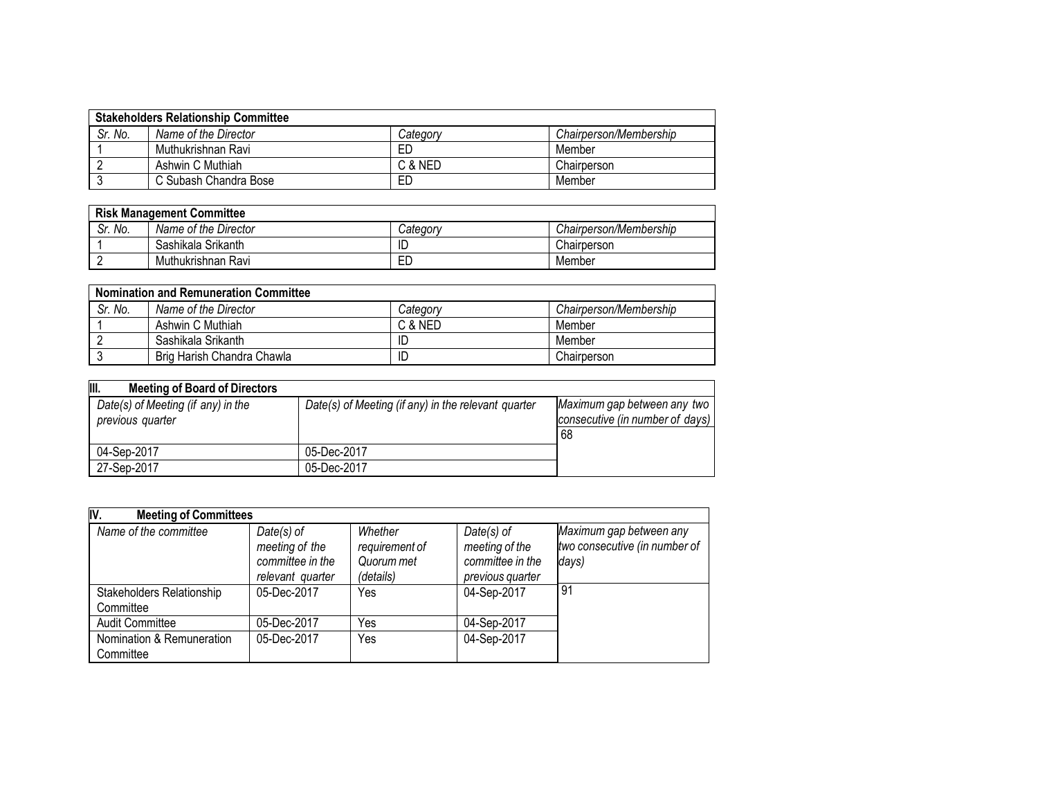| <b>Stakeholders Relationship Committee</b> |                       |          |                        |  |  |
|--------------------------------------------|-----------------------|----------|------------------------|--|--|
| Sr. No.                                    | Name of the Director  | Categorv | Chairperson/Membership |  |  |
|                                            | Muthukrishnan Ravi    | ЕD       | Member                 |  |  |
|                                            | Ashwin C Muthiah      | C & NED  | Chairperson            |  |  |
|                                            | C Subash Chandra Bose | ЕD       | Member                 |  |  |

| <b>Risk Management Committee</b> |                      |                 |                        |  |
|----------------------------------|----------------------|-----------------|------------------------|--|
| Sr. No.                          | Name of the Director | <i>Category</i> | Chairperson/Membership |  |
|                                  | Sashikala Srikanth   | IC              | Chairperson            |  |
|                                  | Muthukrishnan Ravi   | ЕD              | Member                 |  |

| <b>Nomination and Remuneration Committee</b> |                            |          |                        |  |  |
|----------------------------------------------|----------------------------|----------|------------------------|--|--|
| Sr. No.                                      | Name of the Director       | Category | Chairperson/Membership |  |  |
|                                              | Ashwin C Muthiah           | C & NED  | Member                 |  |  |
|                                              | Sashikala Srikanth         | ID       | Member                 |  |  |
|                                              | Brig Harish Chandra Chawla | ID       | Chairperson            |  |  |

| III.<br><b>Meeting of Board of Directors</b>           |                                                     |                                                                      |
|--------------------------------------------------------|-----------------------------------------------------|----------------------------------------------------------------------|
| Date(s) of Meeting (if any) in the<br>previous quarter | Date(s) of Meeting (if any) in the relevant quarter | Maximum gap between any two<br>consecutive (in number of days)<br>68 |
| 04-Sep-2017                                            | 05-Dec-2017                                         |                                                                      |
| 27-Sep-2017                                            | 05-Dec-2017                                         |                                                                      |

| IV.<br><b>Meeting of Committees</b>           |                                                                        |                                                      |                                                                        |                                                                   |  |  |
|-----------------------------------------------|------------------------------------------------------------------------|------------------------------------------------------|------------------------------------------------------------------------|-------------------------------------------------------------------|--|--|
| Name of the committee                         | $Date(s)$ of<br>meeting of the<br>committee in the<br>relevant quarter | Whether<br>requirement of<br>Quorum met<br>(details) | $Date(s)$ of<br>meeting of the<br>committee in the<br>previous quarter | Maximum gap between any<br>two consecutive (in number of<br>days) |  |  |
| <b>Stakeholders Relationship</b><br>Committee | 05-Dec-2017                                                            | Yes                                                  | 04-Sep-2017                                                            | 91                                                                |  |  |
| <b>Audit Committee</b>                        | 05-Dec-2017                                                            | Yes                                                  | 04-Sep-2017                                                            |                                                                   |  |  |
| Nomination & Remuneration<br>Committee        | 05-Dec-2017                                                            | Yes                                                  | 04-Sep-2017                                                            |                                                                   |  |  |